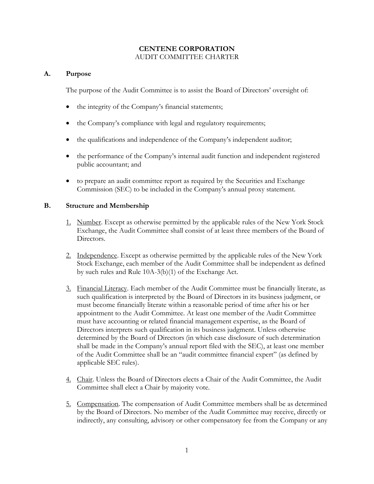## **CENTENE CORPORATION**  AUDIT COMMITTEE CHARTER

# **A. Purpose**

The purpose of the Audit Committee is to assist the Board of Directors' oversight of:

- the integrity of the Company's financial statements;
- the Company's compliance with legal and regulatory requirements;
- the qualifications and independence of the Company's independent auditor;
- the performance of the Company's internal audit function and independent registered public accountant; and
- to prepare an audit committee report as required by the Securities and Exchange Commission (SEC) to be included in the Company's annual proxy statement.

# **B. Structure and Membership**

- 1. Number. Except as otherwise permitted by the applicable rules of the New York Stock Exchange, the Audit Committee shall consist of at least three members of the Board of Directors.
- 2. Independence. Except as otherwise permitted by the applicable rules of the New York Stock Exchange, each member of the Audit Committee shall be independent as defined by such rules and Rule 10A-3(b)(1) of the Exchange Act.
- 3. Financial Literacy. Each member of the Audit Committee must be financially literate, as such qualification is interpreted by the Board of Directors in its business judgment, or must become financially literate within a reasonable period of time after his or her appointment to the Audit Committee. At least one member of the Audit Committee must have accounting or related financial management expertise, as the Board of Directors interprets such qualification in its business judgment. Unless otherwise determined by the Board of Directors (in which case disclosure of such determination shall be made in the Company's annual report filed with the SEC), at least one member of the Audit Committee shall be an "audit committee financial expert" (as defined by applicable SEC rules).
- 4. Chair. Unless the Board of Directors elects a Chair of the Audit Committee, the Audit Committee shall elect a Chair by majority vote.
- 5. Compensation. The compensation of Audit Committee members shall be as determined by the Board of Directors. No member of the Audit Committee may receive, directly or indirectly, any consulting, advisory or other compensatory fee from the Company or any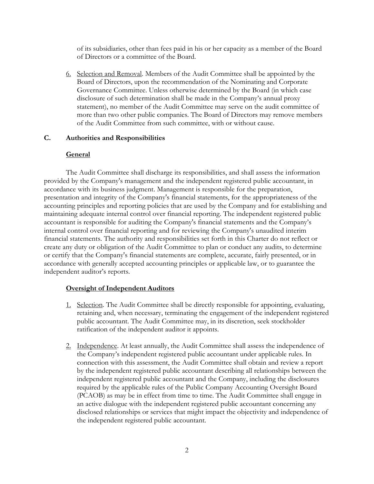of its subsidiaries, other than fees paid in his or her capacity as a member of the Board of Directors or a committee of the Board.

6. Selection and Removal. Members of the Audit Committee shall be appointed by the Board of Directors, upon the recommendation of the Nominating and Corporate Governance Committee. Unless otherwise determined by the Board (in which case disclosure of such determination shall be made in the Company's annual proxy statement), no member of the Audit Committee may serve on the audit committee of more than two other public companies. The Board of Directors may remove members of the Audit Committee from such committee, with or without cause.

### **C. Authorities and Responsibilities**

## **General**

The Audit Committee shall discharge its responsibilities, and shall assess the information provided by the Company's management and the independent registered public accountant, in accordance with its business judgment. Management is responsible for the preparation, presentation and integrity of the Company's financial statements, for the appropriateness of the accounting principles and reporting policies that are used by the Company and for establishing and maintaining adequate internal control over financial reporting. The independent registered public accountant is responsible for auditing the Company's financial statements and the Company's internal control over financial reporting and for reviewing the Company's unaudited interim financial statements. The authority and responsibilities set forth in this Charter do not reflect or create any duty or obligation of the Audit Committee to plan or conduct any audits, to determine or certify that the Company's financial statements are complete, accurate, fairly presented, or in accordance with generally accepted accounting principles or applicable law, or to guarantee the independent auditor's reports.

## **Oversight of Independent Auditors**

- 1. Selection. The Audit Committee shall be directly responsible for appointing, evaluating, retaining and, when necessary, terminating the engagement of the independent registered public accountant. The Audit Committee may, in its discretion, seek stockholder ratification of the independent auditor it appoints.
- 2. Independence. At least annually, the Audit Committee shall assess the independence of the Company's independent registered public accountant under applicable rules. In connection with this assessment, the Audit Committee shall obtain and review a report by the independent registered public accountant describing all relationships between the independent registered public accountant and the Company, including the disclosures required by the applicable rules of the Public Company Accounting Oversight Board (PCAOB) as may be in effect from time to time. The Audit Committee shall engage in an active dialogue with the independent registered public accountant concerning any disclosed relationships or services that might impact the objectivity and independence of the independent registered public accountant.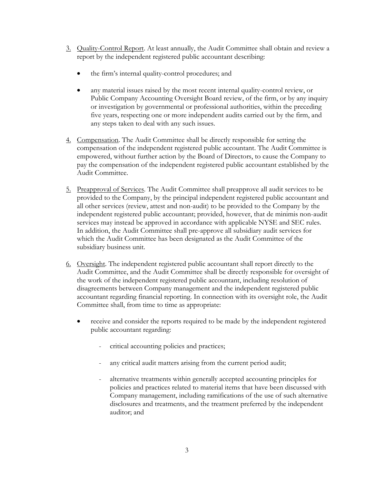- 3. Quality-Control Report. At least annually, the Audit Committee shall obtain and review a report by the independent registered public accountant describing:
	- the firm's internal quality-control procedures; and
	- any material issues raised by the most recent internal quality-control review, or Public Company Accounting Oversight Board review, of the firm, or by any inquiry or investigation by governmental or professional authorities, within the preceding five years, respecting one or more independent audits carried out by the firm, and any steps taken to deal with any such issues.
- 4. Compensation. The Audit Committee shall be directly responsible for setting the compensation of the independent registered public accountant. The Audit Committee is empowered, without further action by the Board of Directors, to cause the Company to pay the compensation of the independent registered public accountant established by the Audit Committee.
- 5. Preapproval of Services. The Audit Committee shall preapprove all audit services to be provided to the Company, by the principal independent registered public accountant and all other services (review, attest and non-audit) to be provided to the Company by the independent registered public accountant; provided, however, that de minimis non-audit services may instead be approved in accordance with applicable NYSE and SEC rules. In addition, the Audit Committee shall pre-approve all subsidiary audit services for which the Audit Committee has been designated as the Audit Committee of the subsidiary business unit.
- 6. Oversight. The independent registered public accountant shall report directly to the Audit Committee, and the Audit Committee shall be directly responsible for oversight of the work of the independent registered public accountant, including resolution of disagreements between Company management and the independent registered public accountant regarding financial reporting. In connection with its oversight role, the Audit Committee shall, from time to time as appropriate:
	- receive and consider the reports required to be made by the independent registered public accountant regarding:
		- critical accounting policies and practices;
		- any critical audit matters arising from the current period audit;
		- alternative treatments within generally accepted accounting principles for policies and practices related to material items that have been discussed with Company management, including ramifications of the use of such alternative disclosures and treatments, and the treatment preferred by the independent auditor; and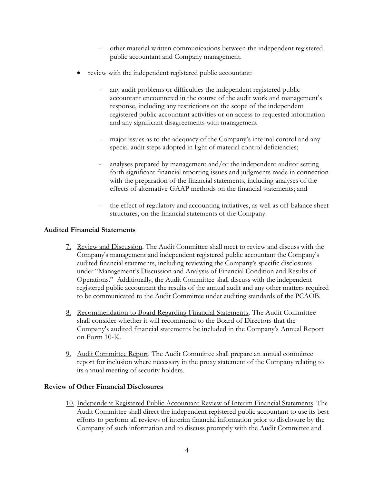- other material written communications between the independent registered public accountant and Company management.
- review with the independent registered public accountant:
	- any audit problems or difficulties the independent registered public accountant encountered in the course of the audit work and management's response, including any restrictions on the scope of the independent registered public accountant activities or on access to requested information and any significant disagreements with management
	- major issues as to the adequacy of the Company's internal control and any special audit steps adopted in light of material control deficiencies;
	- analyses prepared by management and/or the independent auditor setting forth significant financial reporting issues and judgments made in connection with the preparation of the financial statements, including analyses of the effects of alternative GAAP methods on the financial statements; and
	- the effect of regulatory and accounting initiatives, as well as off-balance sheet structures, on the financial statements of the Company.

# **Audited Financial Statements**

- 7. Review and Discussion. The Audit Committee shall meet to review and discuss with the Company's management and independent registered public accountant the Company's audited financial statements, including reviewing the Company's specific disclosures under "Management's Discussion and Analysis of Financial Condition and Results of Operations." Additionally, the Audit Committee shall discuss with the independent registered public accountant the results of the annual audit and any other matters required to be communicated to the Audit Committee under auditing standards of the PCAOB.
- 8. Recommendation to Board Regarding Financial Statements. The Audit Committee shall consider whether it will recommend to the Board of Directors that the Company's audited financial statements be included in the Company's Annual Report on Form 10-K.
- 9. Audit Committee Report. The Audit Committee shall prepare an annual committee report for inclusion where necessary in the proxy statement of the Company relating to its annual meeting of security holders.

## **Review of Other Financial Disclosures**

10. Independent Registered Public Accountant Review of Interim Financial Statements. The Audit Committee shall direct the independent registered public accountant to use its best efforts to perform all reviews of interim financial information prior to disclosure by the Company of such information and to discuss promptly with the Audit Committee and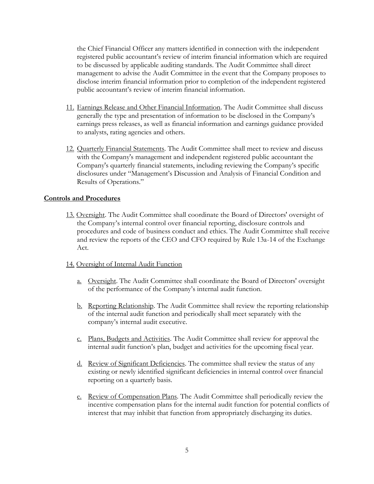the Chief Financial Officer any matters identified in connection with the independent registered public accountant's review of interim financial information which are required to be discussed by applicable auditing standards. The Audit Committee shall direct management to advise the Audit Committee in the event that the Company proposes to disclose interim financial information prior to completion of the independent registered public accountant's review of interim financial information.

- 11. Earnings Release and Other Financial Information. The Audit Committee shall discuss generally the type and presentation of information to be disclosed in the Company's earnings press releases, as well as financial information and earnings guidance provided to analysts, rating agencies and others.
- 12. Quarterly Financial Statements. The Audit Committee shall meet to review and discuss with the Company's management and independent registered public accountant the Company's quarterly financial statements, including reviewing the Company's specific disclosures under "Management's Discussion and Analysis of Financial Condition and Results of Operations."

#### **Controls and Procedures**

13. Oversight. The Audit Committee shall coordinate the Board of Directors' oversight of the Company's internal control over financial reporting, disclosure controls and procedures and code of business conduct and ethics. The Audit Committee shall receive and review the reports of the CEO and CFO required by Rule 13a-14 of the Exchange Act.

#### 14. Oversight of Internal Audit Function

- a. Oversight. The Audit Committee shall coordinate the Board of Directors' oversight of the performance of the Company's internal audit function.
- b. Reporting Relationship. The Audit Committee shall review the reporting relationship of the internal audit function and periodically shall meet separately with the company's internal audit executive.
- c. Plans, Budgets and Activities. The Audit Committee shall review for approval the internal audit function's plan, budget and activities for the upcoming fiscal year.
- d. Review of Significant Deficiencies. The committee shall review the status of any existing or newly identified significant deficiencies in internal control over financial reporting on a quarterly basis.
- e. Review of Compensation Plans. The Audit Committee shall periodically review the incentive compensation plans for the internal audit function for potential conflicts of interest that may inhibit that function from appropriately discharging its duties.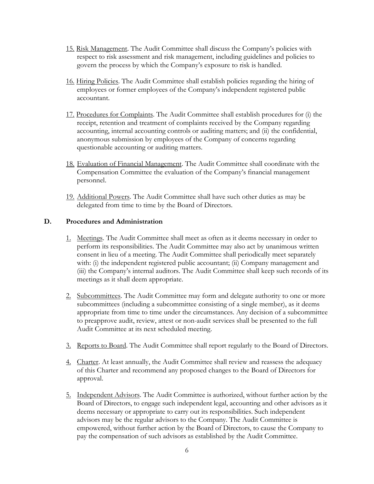- 15. Risk Management. The Audit Committee shall discuss the Company's policies with respect to risk assessment and risk management, including guidelines and policies to govern the process by which the Company's exposure to risk is handled.
- 16. Hiring Policies. The Audit Committee shall establish policies regarding the hiring of employees or former employees of the Company's independent registered public accountant.
- 17. Procedures for Complaints. The Audit Committee shall establish procedures for (i) the receipt, retention and treatment of complaints received by the Company regarding accounting, internal accounting controls or auditing matters; and (ii) the confidential, anonymous submission by employees of the Company of concerns regarding questionable accounting or auditing matters.
- 18. Evaluation of Financial Management. The Audit Committee shall coordinate with the Compensation Committee the evaluation of the Company's financial management personnel.
- 19. Additional Powers. The Audit Committee shall have such other duties as may be delegated from time to time by the Board of Directors.

### **D. Procedures and Administration**

- 1. Meetings. The Audit Committee shall meet as often as it deems necessary in order to perform its responsibilities. The Audit Committee may also act by unanimous written consent in lieu of a meeting. The Audit Committee shall periodically meet separately with: (i) the independent registered public accountant; (ii) Company management and (iii) the Company's internal auditors. The Audit Committee shall keep such records of its meetings as it shall deem appropriate.
- 2. Subcommittees. The Audit Committee may form and delegate authority to one or more subcommittees (including a subcommittee consisting of a single member), as it deems appropriate from time to time under the circumstances. Any decision of a subcommittee to preapprove audit, review, attest or non-audit services shall be presented to the full Audit Committee at its next scheduled meeting.
- 3. Reports to Board. The Audit Committee shall report regularly to the Board of Directors.
- 4. Charter. At least annually, the Audit Committee shall review and reassess the adequacy of this Charter and recommend any proposed changes to the Board of Directors for approval.
- 5. Independent Advisors. The Audit Committee is authorized, without further action by the Board of Directors, to engage such independent legal, accounting and other advisors as it deems necessary or appropriate to carry out its responsibilities. Such independent advisors may be the regular advisors to the Company. The Audit Committee is empowered, without further action by the Board of Directors, to cause the Company to pay the compensation of such advisors as established by the Audit Committee.